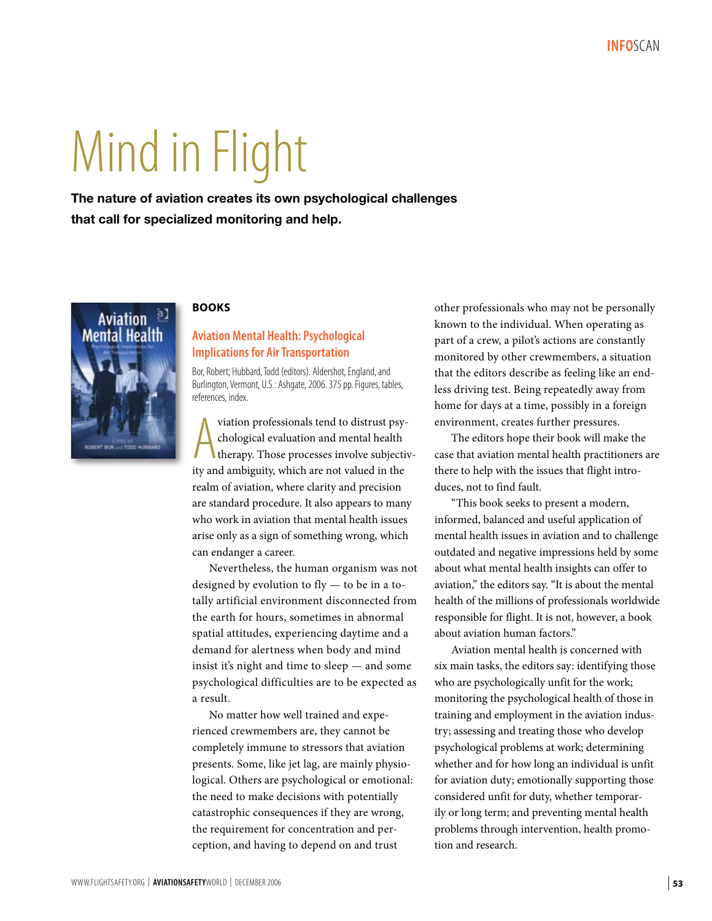# Mind in Flight

**The nature of aviation creates its own psychological challenges that call for specialized monitoring and help.**



### **BOOKS**

# **Aviation Mental Health: Psychological Implications for Air Transportation**

Bor, Robert; Hubbard, Todd (editors). Aldershot, England, and Burlington, Vermont, U.S.: Ashgate, 2006. 375 pp. Figures, tables, references, index.

viation professionals tend to distrust psychological evaluation and mental health therapy. Those processes involve subjective and ambiguity, which are not valued in the viation professionals tend to distrust psychological evaluation and mental health therapy. Those processes involve subjectivrealm of aviation, where clarity and precision are standard procedure. It also appears to many who work in aviation that mental health issues arise only as a sign of something wrong, which can endanger a career.

Nevertheless, the human organism was not designed by evolution to fly — to be in a totally artificial environment disconnected from the earth for hours, sometimes in abnormal spatial attitudes, experiencing daytime and a demand for alertness when body and mind insist it's night and time to sleep — and some psychological difficulties are to be expected as a result.

No matter how well trained and experienced crewmembers are, they cannot be completely immune to stressors that aviation presents. Some, like jet lag, are mainly physiological. Others are psychological or emotional: the need to make decisions with potentially catastrophic consequences if they are wrong, the requirement for concentration and perception, and having to depend on and trust

other professionals who may not be personally known to the individual. When operating as part of a crew, a pilot's actions are constantly monitored by other crewmembers, a situation that the editors describe as feeling like an endless driving test. Being repeatedly away from home for days at a time, possibly in a foreign environment, creates further pressures.

The editors hope their book will make the case that aviation mental health practitioners are there to help with the issues that flight introduces, not to find fault.

"This book seeks to present a modern, informed, balanced and useful application of mental health issues in aviation and to challenge outdated and negative impressions held by some about what mental health insights can offer to aviation," the editors say. "It is about the mental health of the millions of professionals worldwide responsible for flight. It is not, however, a book about aviation human factors."

Aviation mental health is concerned with six main tasks, the editors say: identifying those who are psychologically unfit for the work; monitoring the psychological health of those in training and employment in the aviation industry; assessing and treating those who develop psychological problems at work; determining whether and for how long an individual is unfit for aviation duty; emotionally supporting those considered unfit for duty, whether temporarily or long term; and preventing mental health problems through intervention, health promotion and research.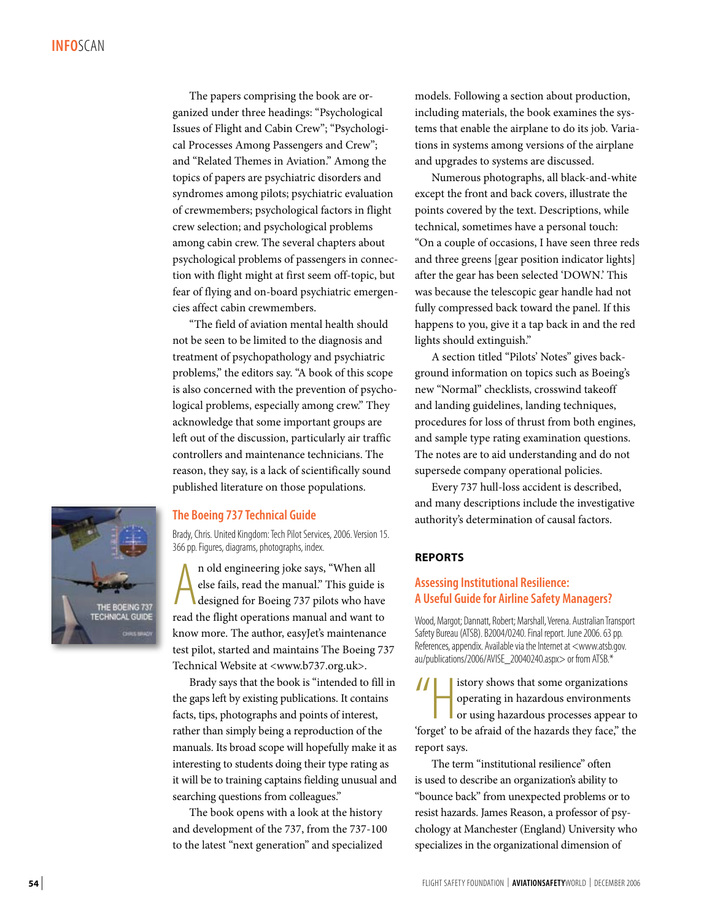The papers comprising the book are organized under three headings: "Psychological Issues of Flight and Cabin Crew"; "Psychological Processes Among Passengers and Crew"; and "Related Themes in Aviation." Among the topics of papers are psychiatric disorders and syndromes among pilots; psychiatric evaluation of crewmembers; psychological factors in flight crew selection; and psychological problems among cabin crew. The several chapters about psychological problems of passengers in connection with flight might at first seem off-topic, but fear of flying and on-board psychiatric emergencies affect cabin crewmembers.

"The field of aviation mental health should not be seen to be limited to the diagnosis and treatment of psychopathology and psychiatric problems," the editors say. "A book of this scope is also concerned with the prevention of psychological problems, especially among crew." They acknowledge that some important groups are left out of the discussion, particularly air traffic controllers and maintenance technicians. The reason, they say, is a lack of scientifically sound published literature on those populations.



### **The Boeing 737 Technical Guide**

Brady, Chris. United Kingdom: Tech Pilot Services, 2006. Version 15. 366 pp. Figures, diagrams, photographs, index.

In old engineering joke says, "When all else fails, read the manual." This guide is designed for Boeing 737 pilots who have read the flight operations manual and want to n old engineering joke says, "When all else fails, read the manual." This guide is designed for Boeing 737 pilots who have know more. The author, easyJet's maintenance test pilot, started and maintains The Boeing 737 Technical Website at <www.b737.org.uk>.

Brady says that the book is "intended to fill in the gaps left by existing publications. It contains facts, tips, photographs and points of interest, rather than simply being a reproduction of the manuals. Its broad scope will hopefully make it as interesting to students doing their type rating as it will be to training captains fielding unusual and searching questions from colleagues."

The book opens with a look at the history and development of the 737, from the 737-100 to the latest "next generation" and specialized

models. Following a section about production, including materials, the book examines the systems that enable the airplane to do its job. Variations in systems among versions of the airplane and upgrades to systems are discussed.

Numerous photographs, all black-and-white except the front and back covers, illustrate the points covered by the text. Descriptions, while technical, sometimes have a personal touch: "On a couple of occasions, I have seen three reds and three greens [gear position indicator lights] after the gear has been selected 'DOWN.' This was because the telescopic gear handle had not fully compressed back toward the panel. If this happens to you, give it a tap back in and the red lights should extinguish."

A section titled "Pilots' Notes" gives background information on topics such as Boeing's new "Normal" checklists, crosswind takeoff and landing guidelines, landing techniques, procedures for loss of thrust from both engines, and sample type rating examination questions. The notes are to aid understanding and do not supersede company operational policies.

Every 737 hull-loss accident is described, and many descriptions include the investigative authority's determination of causal factors.

### **REPORTS**

### **Assessing Institutional Resilience: A Useful Guide for Airline Safety Managers?**

Wood, Margot; Dannatt, Robert; Marshall, Verena. Australian Transport Safety Bureau (ATSB). B2004/0240. Final report. June 2006. 63 pp. References, appendix. Available via the Internet at <www.atsb.gov. au/publications/2006/AVISE\_20040240.aspx> or from ATSB.\*

 $\frac{1}{\sqrt{\frac{1}{2}}\sqrt{\frac{1}{2}}}}$ istory shows that some organizations operating in hazardous environments or using hazardous processes appear to 'forget' to be afraid of the hazards they face," the report says.

The term "institutional resilience" often is used to describe an organization's ability to "bounce back" from unexpected problems or to resist hazards. James Reason, a professor of psychology at Manchester (England) University who specializes in the organizational dimension of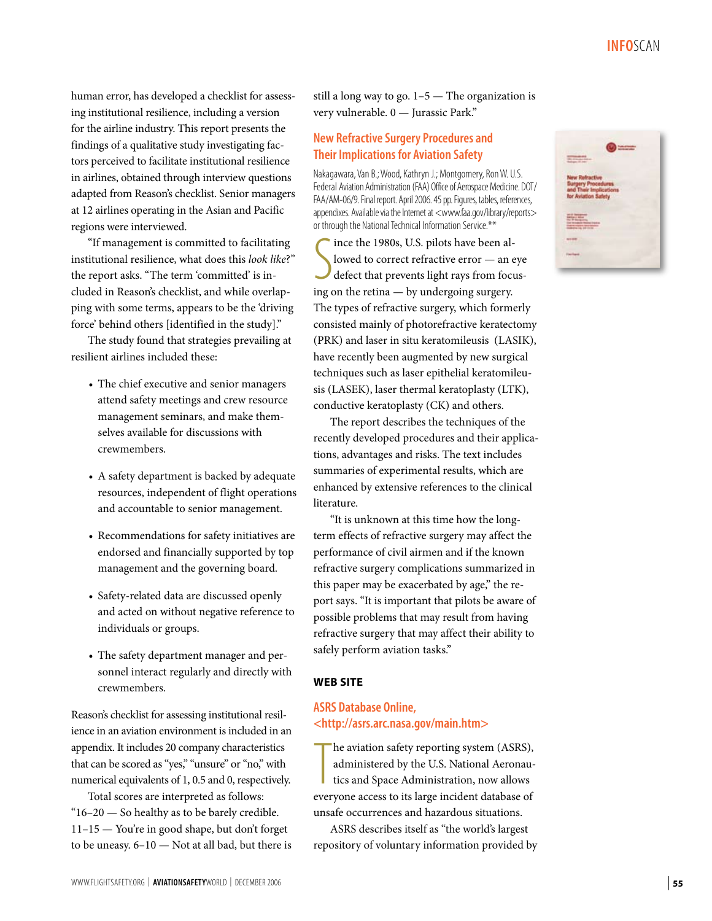**Info**Scan

human error, has developed a checklist for assessing institutional resilience, including a version for the airline industry. This report presents the findings of a qualitative study investigating factors perceived to facilitate institutional resilience in airlines, obtained through interview questions adapted from Reason's checklist. Senior managers at 12 airlines operating in the Asian and Pacific regions were interviewed.

"If management is committed to facilitating institutional resilience, what does this *look like*?" the report asks. "The term 'committed' is included in Reason's checklist, and while overlapping with some terms, appears to be the 'driving force' behind others [identified in the study]."

The study found that strategies prevailing at resilient airlines included these:

- The chief executive and senior managers attend safety meetings and crew resource management seminars, and make themselves available for discussions with crewmembers.
- A safety department is backed by adequate resources, independent of flight operations and accountable to senior management.
- Recommendations for safety initiatives are endorsed and financially supported by top management and the governing board.
- Safety-related data are discussed openly and acted on without negative reference to individuals or groups.
- The safety department manager and personnel interact regularly and directly with crewmembers.

Reason's checklist for assessing institutional resilience in an aviation environment is included in an appendix. It includes 20 company characteristics that can be scored as "yes," "unsure" or "no," with numerical equivalents of 1, 0.5 and 0, respectively.

Total scores are interpreted as follows: " $16-20$  — So healthy as to be barely credible. 11–15 — You're in good shape, but don't forget to be uneasy. 6–10 — Not at all bad, but there is still a long way to go. 1–5 — The organization is very vulnerable. 0 — Jurassic Park."

# **New Refractive Surgery Procedures and Their Implications for Aviation Safety**

Nakagawara, Van B.; Wood, Kathryn J.; Montgomery, Ron W. U.S. Federal Aviation Administration (FAA) Office of Aerospace Medicine. DOT/ FAA/AM-06/9. Final report. April 2006. 45 pp. Figures, tables, references, appendixes. Available via the Internet at <www.faa.gov/library/reports> or through the National Technical Information Service.\*\*

S ince the 1980s, U.S. pilots have been allowed to correct refractive error — an eye defect that prevents light rays from focusing on the retina — by undergoing surgery. The types of refractive surgery, which formerly consisted mainly of photorefractive keratectomy (PRK) and laser in situ keratomileusis (LASIK), have recently been augmented by new surgical techniques such as laser epithelial keratomileusis (LASEK), laser thermal keratoplasty (LTK), conductive keratoplasty (CK) and others.

The report describes the techniques of the recently developed procedures and their applications, advantages and risks. The text includes summaries of experimental results, which are enhanced by extensive references to the clinical literature.

"It is unknown at this time how the longterm effects of refractive surgery may affect the performance of civil airmen and if the known refractive surgery complications summarized in this paper may be exacerbated by age," the report says. "It is important that pilots be aware of possible problems that may result from having refractive surgery that may affect their ability to safely perform aviation tasks."

### **WEB SITE**

# **ASRS Database Online, <http://asrs.arc.nasa.gov/main.htm>**

The aviation safety reporting system (ASRS), administered by the U.S. National Aeronautics and Space Administration, now allows everyone access to its large incident database of he aviation safety reporting system (ASRS), administered by the U.S. National Aeronautics and Space Administration, now allows unsafe occurrences and hazardous situations.

ASRS describes itself as "the world's largest repository of voluntary information provided by